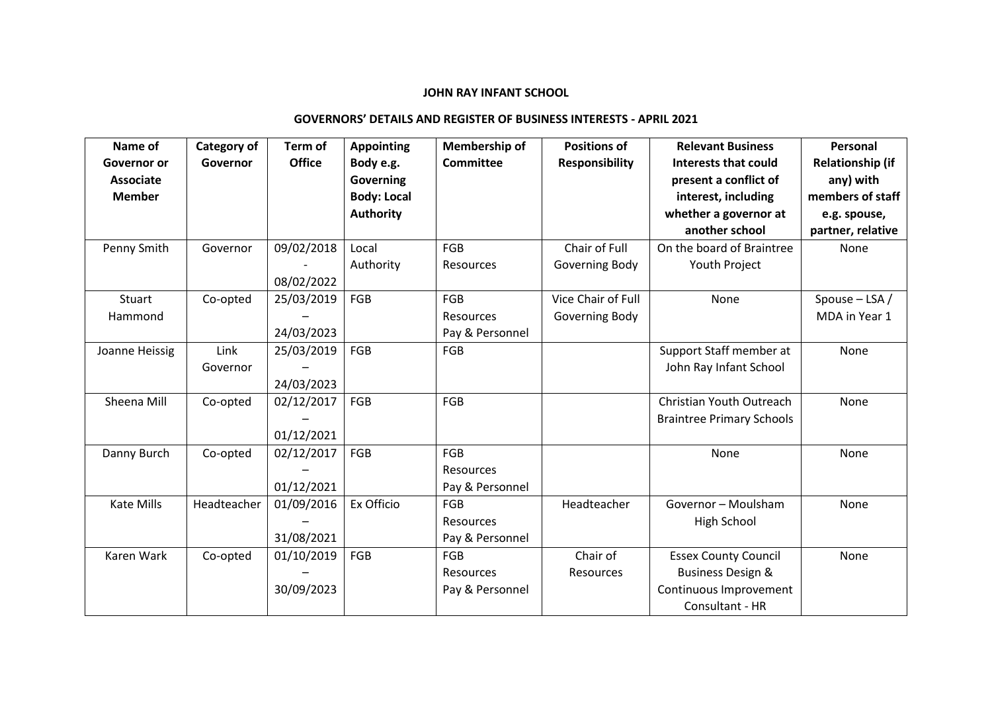## **JOHN RAY INFANT SCHOOL**

## **GOVERNORS' DETAILS AND REGISTER OF BUSINESS INTERESTS - APRIL 2021**

| Name of           | <b>Category of</b> | Term of       | <b>Appointing</b>  | Membership of    | <b>Positions of</b>   | <b>Relevant Business</b>         | Personal                |
|-------------------|--------------------|---------------|--------------------|------------------|-----------------------|----------------------------------|-------------------------|
| Governor or       | Governor           | <b>Office</b> | Body e.g.          | <b>Committee</b> | <b>Responsibility</b> | <b>Interests that could</b>      | <b>Relationship (if</b> |
| <b>Associate</b>  |                    |               | Governing          |                  |                       | present a conflict of            | any) with               |
| <b>Member</b>     |                    |               | <b>Body: Local</b> |                  |                       | interest, including              | members of staff        |
|                   |                    |               | <b>Authority</b>   |                  |                       | whether a governor at            | e.g. spouse,            |
|                   |                    |               |                    |                  |                       | another school                   | partner, relative       |
| Penny Smith       | Governor           | 09/02/2018    | Local              | <b>FGB</b>       | Chair of Full         | On the board of Braintree        | None                    |
|                   |                    |               | Authority          | <b>Resources</b> | Governing Body        | Youth Project                    |                         |
|                   |                    | 08/02/2022    |                    |                  |                       |                                  |                         |
| Stuart            | Co-opted           | 25/03/2019    | FGB                | <b>FGB</b>       | Vice Chair of Full    | None                             | Spouse $-$ LSA /        |
| Hammond           |                    |               |                    | <b>Resources</b> | Governing Body        |                                  | MDA in Year 1           |
|                   |                    | 24/03/2023    |                    | Pay & Personnel  |                       |                                  |                         |
| Joanne Heissig    | Link               | 25/03/2019    | FGB                | <b>FGB</b>       |                       | Support Staff member at          | None                    |
|                   | Governor           |               |                    |                  |                       | John Ray Infant School           |                         |
|                   |                    | 24/03/2023    |                    |                  |                       |                                  |                         |
| Sheena Mill       | Co-opted           | 02/12/2017    | FGB                | <b>FGB</b>       |                       | Christian Youth Outreach         | None                    |
|                   |                    |               |                    |                  |                       | <b>Braintree Primary Schools</b> |                         |
|                   |                    | 01/12/2021    |                    |                  |                       |                                  |                         |
| Danny Burch       | Co-opted           | 02/12/2017    | FGB                | <b>FGB</b>       |                       | None                             | None                    |
|                   |                    |               |                    | <b>Resources</b> |                       |                                  |                         |
|                   |                    | 01/12/2021    |                    | Pay & Personnel  |                       |                                  |                         |
| <b>Kate Mills</b> | Headteacher        | 01/09/2016    | Ex Officio         | <b>FGB</b>       | Headteacher           | Governor - Moulsham              | None                    |
|                   |                    |               |                    | <b>Resources</b> |                       | High School                      |                         |
|                   |                    | 31/08/2021    |                    | Pay & Personnel  |                       |                                  |                         |
| Karen Wark        | Co-opted           | 01/10/2019    | FGB                | <b>FGB</b>       | Chair of              | <b>Essex County Council</b>      | None                    |
|                   |                    |               |                    | <b>Resources</b> | Resources             | <b>Business Design &amp;</b>     |                         |
|                   |                    | 30/09/2023    |                    | Pay & Personnel  |                       | Continuous Improvement           |                         |
|                   |                    |               |                    |                  |                       | Consultant - HR                  |                         |